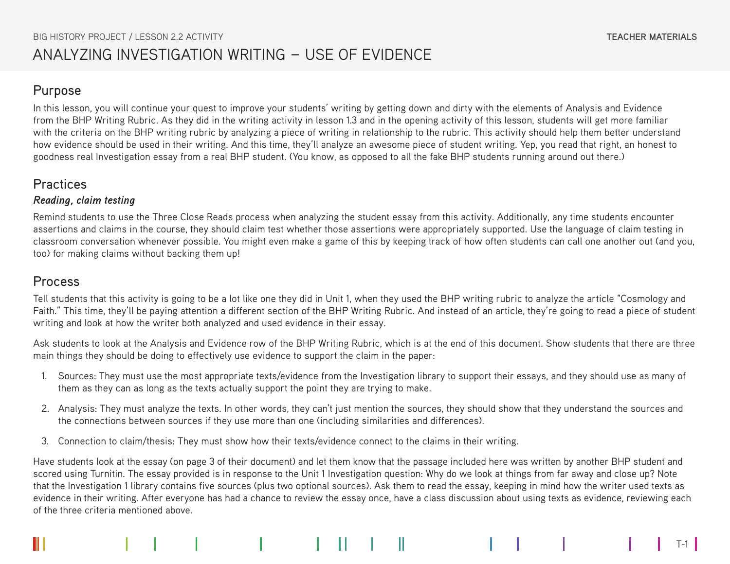## Purpose

In this lesson, you will continue your quest to improve your students' writing by getting down and dirty with the elements of Analysis and Evidence from the BHP Writing Rubric. As they did in the writing activity in lesson 1.3 and in the opening activity of this lesson, students will get more familiar with the criteria on the BHP writing rubric by analyzing a piece of writing in relationship to the rubric. This activity should help them better understand how evidence should be used in their writing. And this time, they'll analyze an awesome piece of student writing. Yep, you read that right, an honest to goodness real Investigation essay from a real BHP student. (You know, as opposed to all the fake BHP students running around out there.)

## **Practices**

### *Reading, claim testing*

Remind students to use the Three Close Reads process when analyzing the student essay from this activity. Additionally, any time students encounter assertions and claims in the course, they should claim test whether those assertions were appropriately supported. Use the language of claim testing in classroom conversation whenever possible. You might even make a game of this by keeping track of how often students can call one another out (and you, too) for making claims without backing them up!

## Process

Tell students that this activity is going to be a lot like one they did in Unit 1, when they used the BHP writing rubric to analyze the article "Cosmology and Faith." This time, they'll be paying attention a different section of the BHP Writing Rubric. And instead of an article, they're going to read a piece of student writing and look at how the writer both analyzed and used evidence in their essay.

Ask students to look at the Analysis and Evidence row of the BHP Writing Rubric, which is at the end of this document. Show students that there are three main things they should be doing to effectively use evidence to support the claim in the paper:

- 1. Sources: They must use the most appropriate texts/evidence from the Investigation library to support their essays, and they should use as many of them as they can as long as the texts actually support the point they are trying to make.
- 2. Analysis: They must analyze the texts. In other words, they can't just mention the sources, they should show that they understand the sources and the connections between sources if they use more than one (including similarities and differences).
- 3. Connection to claim/thesis: They must show how their texts/evidence connect to the claims in their writing.

Have students look at the essay (on page 3 of their document) and let them know that the passage included here was written by another BHP student and scored using Turnitin. The essay provided is in response to the Unit 1 Investigation question: Why do we look at things from far away and close up? Note that the Investigation 1 library contains five sources (plus two optional sources). Ask them to read the essay, keeping in mind how the writer used texts as evidence in their writing. After everyone has had a chance to review the essay once, have a class discussion about using texts as evidence, reviewing each of the three criteria mentioned above.

T-1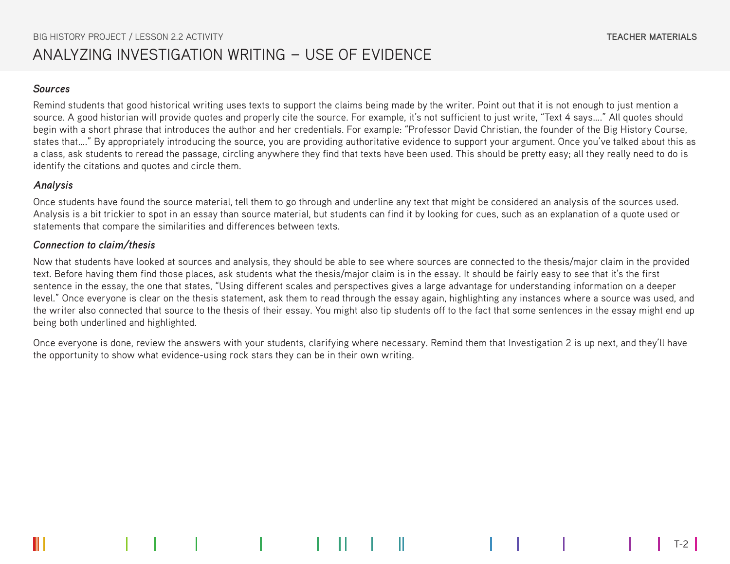#### *Sources*

Remind students that good historical writing uses texts to support the claims being made by the writer. Point out that it is not enough to just mention a source. A good historian will provide quotes and properly cite the source. For example, it's not sufficient to just write, "Text 4 says...." All quotes should begin with a short phrase that introduces the author and her credentials. For example: "Professor David Christian, the founder of the Big History Course, states that…." By appropriately introducing the source, you are providing authoritative evidence to support your argument. Once you've talked about this as a class, ask students to reread the passage, circling anywhere they find that texts have been used. This should be pretty easy; all they really need to do is identify the citations and quotes and circle them.

### *Analysis*

Once students have found the source material, tell them to go through and underline any text that might be considered an analysis of the sources used. Analysis is a bit trickier to spot in an essay than source material, but students can find it by looking for cues, such as an explanation of a quote used or statements that compare the similarities and differences between texts.

### *Connection to claim/thesis*

Now that students have looked at sources and analysis, they should be able to see where sources are connected to the thesis/major claim in the provided text. Before having them find those places, ask students what the thesis/major claim is in the essay. It should be fairly easy to see that it's the first sentence in the essay, the one that states, "Using different scales and perspectives gives a large advantage for understanding information on a deeper level." Once everyone is clear on the thesis statement, ask them to read through the essay again, highlighting any instances where a source was used, and the writer also connected that source to the thesis of their essay. You might also tip students off to the fact that some sentences in the essay might end up being both underlined and highlighted.

Once everyone is done, review the answers with your students, clarifying where necessary. Remind them that Investigation 2 is up next, and they'll have the opportunity to show what evidence-using rock stars they can be in their own writing.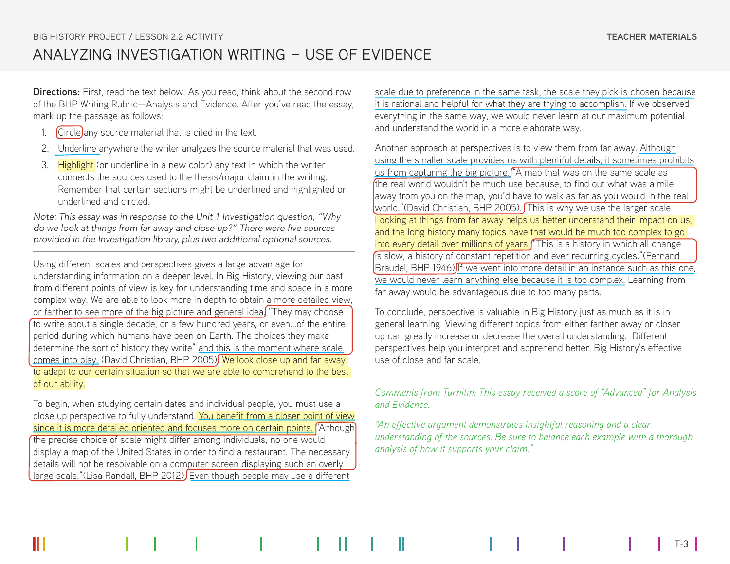**Directions:** First, read the text below. As you read, think about the second row of the BHP Writing Rubric—Analysis and Evidence. After you've read the essay, mark up the passage as follows:

- 1.  $\int$ Circle any source material that is cited in the text.
- 2. Underline anywhere the writer analyzes the source material that was used.
- 3. Highlight (or underline in a new color) any text in which the writer connects the sources used to the thesis/major claim in the writing. Remember that certain sections might be underlined and highlighted or underlined and circled.

*Note: This essay was in response to the Unit 1 Investigation question, "Why*  do we look at things from far away and close up?" There were five sources *provided in the Investigation library, plus two additional optional sources.* 

Using different scales and perspectives gives a large advantage for understanding information on a deeper level. In Big History, viewing our past from different points of view is key for understanding time and space in a more complex way. We are able to look more in depth to obtain a more detailed view, or farther to see more of the big picture and general idea. "They may choose to write about a single decade, or a few hundred years, or even...of the entire period during which humans have been on Earth. The choices they make determine the sort of history they write" and this is the moment where scale comes into play. (David Christian, BHP 2005) We look close up and far away to adapt to our certain situation so that we are able to comprehend to the best of our ability.

To begin, when studying certain dates and individual people, you must use a close up perspective to fully understand. You benefit from a closer point of view since it is more detailed oriented and focuses more on certain points. "Although the precise choice of scale might differ among individuals, no one would display a map of the United States in order to find a restaurant. The necessary details will not be resolvable on a computer screen displaying such an overly large scale."(Lisa Randall, BHP 2012) Even though people may use a different

scale due to preference in the same task, the scale they pick is chosen because it is rational and helpful for what they are trying to accomplish. If we observed everything in the same way, we would never learn at our maximum potential and understand the world in a more elaborate way.

Another approach at perspectives is to view them from far away. Although using the smaller scale provides us with plentiful details, it sometimes prohibits us from capturing the big picture. ("A map that was on the same scale as the real world wouldn't be much use because, to find out what was a mile away from you on the map, you'd have to walk as far as you would in the real world."(David Christian, BHP 2005). This is why we use the larger scale. Looking at things from far away helps us better understand their impact on us, and the long history many topics have that would be much too complex to go into every detail over millions of years. "This is a history in which all change is slow, a history of constant repetition and ever recurring cycles."(Fernand Braudel, BHP 1946) If we went into more detail in an instance such as this one, we would never learn anything else because it is too complex. Learning from far away would be advantageous due to too many parts.

To conclude, perspective is valuable in Big History just as much as it is in general learning. Viewing different topics from either farther away or closer up can greatly increase or decrease the overall understanding. Different perspectives help you interpret and apprehend better. Big History's effective use of close and far scale.

*Comments from Turnitin: This essay received a score of "Advanced" for Analysis and Evidence.*

*"An effective argument demonstrates insightful reasoning and a clear understanding of the sources. Be sure to balance each example with a thorough analysis of how it supports your claim."*

T-3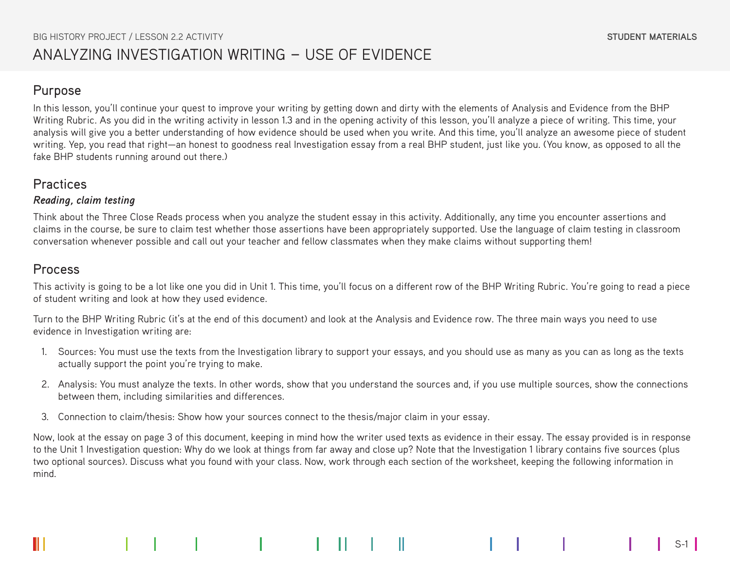## Purpose

In this lesson, you'll continue your quest to improve your writing by getting down and dirty with the elements of Analysis and Evidence from the BHP Writing Rubric. As you did in the writing activity in lesson 1.3 and in the opening activity of this lesson, you'll analyze a piece of writing. This time, your analysis will give you a better understanding of how evidence should be used when you write. And this time, you'll analyze an awesome piece of student writing. Yep, you read that right—an honest to goodness real Investigation essay from a real BHP student, just like you. (You know, as opposed to all the fake BHP students running around out there.)

# Practices

## *Reading, claim testing*

Think about the Three Close Reads process when you analyze the student essay in this activity. Additionally, any time you encounter assertions and claims in the course, be sure to claim test whether those assertions have been appropriately supported. Use the language of claim testing in classroom conversation whenever possible and call out your teacher and fellow classmates when they make claims without supporting them!

# Process

This activity is going to be a lot like one you did in Unit 1. This time, you'll focus on a different row of the BHP Writing Rubric. You're going to read a piece of student writing and look at how they used evidence.

Turn to the BHP Writing Rubric (it's at the end of this document) and look at the Analysis and Evidence row. The three main ways you need to use evidence in Investigation writing are:

- 1. Sources: You must use the texts from the Investigation library to support your essays, and you should use as many as you can as long as the texts actually support the point you're trying to make.
- 2. Analysis: You must analyze the texts. In other words, show that you understand the sources and, if you use multiple sources, show the connections between them, including similarities and differences.
- 3. Connection to claim/thesis: Show how your sources connect to the thesis/major claim in your essay.

Now, look at the essay on page 3 of this document, keeping in mind how the writer used texts as evidence in their essay. The essay provided is in response to the Unit 1 Investigation question: Why do we look at things from far away and close up? Note that the Investigation 1 library contains five sources (plus two optional sources). Discuss what you found with your class. Now, work through each section of the worksheet, keeping the following information in mind.

S-1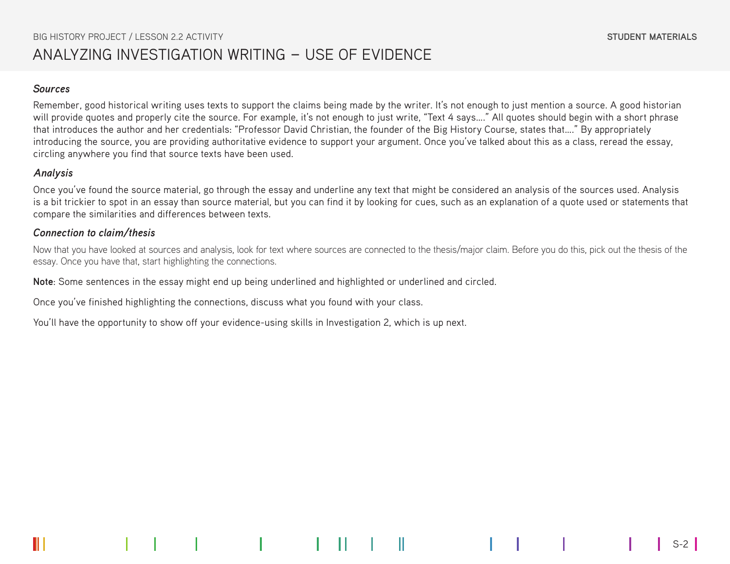#### *Sources*

Remember, good historical writing uses texts to support the claims being made by the writer. It's not enough to just mention a source. A good historian will provide quotes and properly cite the source. For example, it's not enough to just write, "Text 4 says...." All quotes should begin with a short phrase that introduces the author and her credentials: "Professor David Christian, the founder of the Big History Course, states that…." By appropriately introducing the source, you are providing authoritative evidence to support your argument. Once you've talked about this as a class, reread the essay, circling anywhere you find that source texts have been used.

### *Analysis*

Once you've found the source material, go through the essay and underline any text that might be considered an analysis of the sources used. Analysis is a bit trickier to spot in an essay than source material, but you can find it by looking for cues, such as an explanation of a quote used or statements that compare the similarities and differences between texts.

### *Connection to claim/thesis*

Now that you have looked at sources and analysis, look for text where sources are connected to the thesis/major claim. Before you do this, pick out the thesis of the essay. Once you have that, start highlighting the connections.

**Note**: Some sentences in the essay might end up being underlined and highlighted or underlined and circled.

Once you've finished highlighting the connections, discuss what you found with your class.

You'll have the opportunity to show off your evidence-using skills in Investigation 2, which is up next.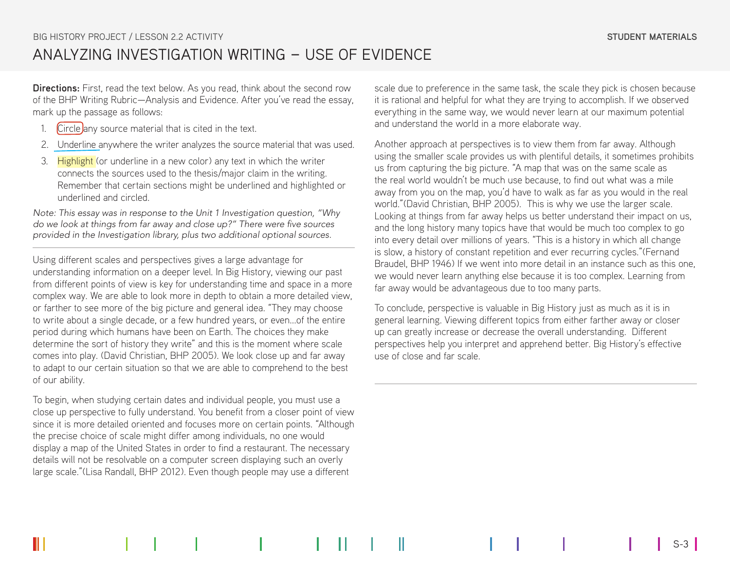**Directions:** First, read the text below. As you read, think about the second row of the BHP Writing Rubric—Analysis and Evidence. After you've read the essay, mark up the passage as follows:

- 1. Circle any source material that is cited in the text.
- 2. Underline anywhere the writer analyzes the source material that was used.
- 3. Highlight (or underline in a new color) any text in which the writer connects the sources used to the thesis/major claim in the writing. Remember that certain sections might be underlined and highlighted or underlined and circled.

*Note: This essay was in response to the Unit 1 Investigation question, "Why*  do we look at things from far away and close up?" There were five sources *provided in the Investigation library, plus two additional optional sources.* 

Using different scales and perspectives gives a large advantage for understanding information on a deeper level. In Big History, viewing our past from different points of view is key for understanding time and space in a more complex way. We are able to look more in depth to obtain a more detailed view, or farther to see more of the big picture and general idea. "They may choose to write about a single decade, or a few hundred years, or even...of the entire period during which humans have been on Earth. The choices they make determine the sort of history they write" and this is the moment where scale comes into play. (David Christian, BHP 2005). We look close up and far away to adapt to our certain situation so that we are able to comprehend to the best of our ability.

To begin, when studying certain dates and individual people, you must use a close up perspective to fully understand. You benefit from a closer point of view since it is more detailed oriented and focuses more on certain points. "Although the precise choice of scale might differ among individuals, no one would display a map of the United States in order to find a restaurant. The necessary details will not be resolvable on a computer screen displaying such an overly large scale."(Lisa Randall, BHP 2012). Even though people may use a different

scale due to preference in the same task, the scale they pick is chosen because it is rational and helpful for what they are trying to accomplish. If we observed everything in the same way, we would never learn at our maximum potential and understand the world in a more elaborate way.

Another approach at perspectives is to view them from far away. Although using the smaller scale provides us with plentiful details, it sometimes prohibits us from capturing the big picture. "A map that was on the same scale as the real world wouldn't be much use because, to find out what was a mile away from you on the map, you'd have to walk as far as you would in the real world."(David Christian, BHP 2005). This is why we use the larger scale. Looking at things from far away helps us better understand their impact on us, and the long history many topics have that would be much too complex to go into every detail over millions of years. "This is a history in which all change is slow, a history of constant repetition and ever recurring cycles."(Fernand Braudel, BHP 1946) If we went into more detail in an instance such as this one, we would never learn anything else because it is too complex. Learning from far away would be advantageous due to too many parts.

To conclude, perspective is valuable in Big History just as much as it is in general learning. Viewing different topics from either farther away or closer up can greatly increase or decrease the overall understanding. Different perspectives help you interpret and apprehend better. Big History's effective use of close and far scale.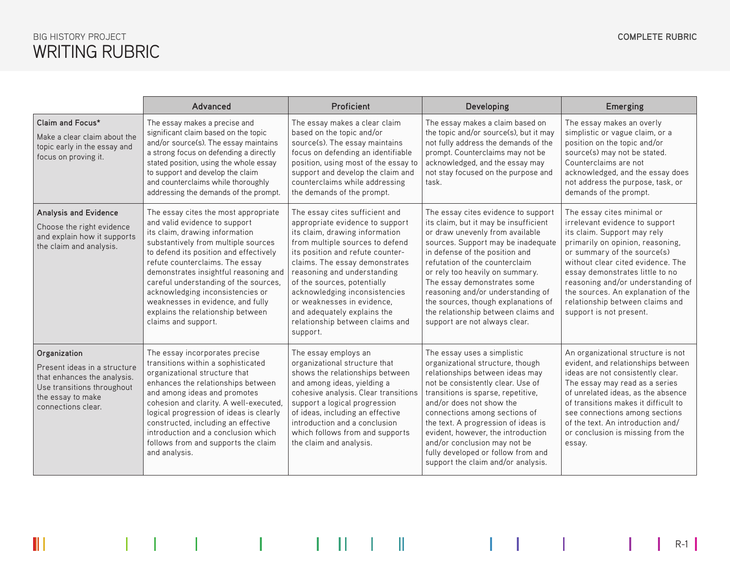# WRITING RUBRIC BIG HISTORY PROJECT

 $\|\,|$ 

|                                                                                                                                                      | Proficient<br>Advanced                                                                                                                                                                                                                                                                                                                                                                                                                             |                                                                                                                                                                                                                                                                                                                                                                                                                         | Developing                                                                                                                                                                                                                                                                                                                                                                                                                                      | Emerging                                                                                                                                                                                                                                                                                                                                                                        |  |
|------------------------------------------------------------------------------------------------------------------------------------------------------|----------------------------------------------------------------------------------------------------------------------------------------------------------------------------------------------------------------------------------------------------------------------------------------------------------------------------------------------------------------------------------------------------------------------------------------------------|-------------------------------------------------------------------------------------------------------------------------------------------------------------------------------------------------------------------------------------------------------------------------------------------------------------------------------------------------------------------------------------------------------------------------|-------------------------------------------------------------------------------------------------------------------------------------------------------------------------------------------------------------------------------------------------------------------------------------------------------------------------------------------------------------------------------------------------------------------------------------------------|---------------------------------------------------------------------------------------------------------------------------------------------------------------------------------------------------------------------------------------------------------------------------------------------------------------------------------------------------------------------------------|--|
| Claim and Focus*<br>Make a clear claim about the<br>topic early in the essay and<br>focus on proving it.                                             | The essay makes a precise and<br>significant claim based on the topic<br>and/or source(s). The essay maintains<br>a strong focus on defending a directly<br>stated position, using the whole essay<br>to support and develop the claim<br>and counterclaims while thoroughly<br>addressing the demands of the prompt.                                                                                                                              | The essay makes a clear claim<br>based on the topic and/or<br>source(s). The essay maintains<br>focus on defending an identifiable<br>position, using most of the essay to<br>support and develop the claim and<br>counterclaims while addressing<br>the demands of the prompt.                                                                                                                                         | The essay makes a claim based on<br>the topic and/or source(s), but it may<br>not fully address the demands of the<br>prompt. Counterclaims may not be<br>acknowledged, and the essay may<br>not stay focused on the purpose and<br>task.                                                                                                                                                                                                       | The essay makes an overly<br>simplistic or vague claim, or a<br>position on the topic and/or<br>source(s) may not be stated.<br>Counterclaims are not<br>acknowledged, and the essay does<br>not address the purpose, task, or<br>demands of the prompt.                                                                                                                        |  |
| Analysis and Evidence<br>Choose the right evidence<br>and explain how it supports<br>the claim and analysis.                                         | The essay cites the most appropriate<br>and valid evidence to support<br>its claim, drawing information<br>substantively from multiple sources<br>to defend its position and effectively<br>refute counterclaims. The essay<br>demonstrates insightful reasoning and<br>careful understanding of the sources,<br>acknowledging inconsistencies or<br>weaknesses in evidence, and fully<br>explains the relationship between<br>claims and support. | The essay cites sufficient and<br>appropriate evidence to support<br>its claim, drawing information<br>from multiple sources to defend<br>its position and refute counter-<br>claims. The essay demonstrates<br>reasoning and understanding<br>of the sources, potentially<br>acknowledging inconsistencies<br>or weaknesses in evidence.<br>and adequately explains the<br>relationship between claims and<br>support. | The essay cites evidence to support<br>its claim, but it may be insufficient<br>or draw unevenly from available<br>sources. Support may be inadequate<br>in defense of the position and<br>refutation of the counterclaim<br>or rely too heavily on summary.<br>The essay demonstrates some<br>reasoning and/or understanding of<br>the sources, though explanations of<br>the relationship between claims and<br>support are not always clear. | The essay cites minimal or<br>irrelevant evidence to support<br>its claim. Support may rely<br>primarily on opinion, reasoning,<br>or summary of the source(s)<br>without clear cited evidence. The<br>essay demonstrates little to no<br>reasoning and/or understanding of<br>the sources. An explanation of the<br>relationship between claims and<br>support is not present. |  |
| Organization<br>Present ideas in a structure<br>that enhances the analysis.<br>Use transitions throughout<br>the essay to make<br>connections clear. | The essay incorporates precise<br>transitions within a sophisticated<br>organizational structure that<br>enhances the relationships between<br>and among ideas and promotes<br>cohesion and clarity. A well-executed,<br>logical progression of ideas is clearly<br>constructed, including an effective<br>introduction and a conclusion which<br>follows from and supports the claim<br>and analysis.                                             | The essay employs an<br>organizational structure that<br>shows the relationships between<br>and among ideas, yielding a<br>cohesive analysis. Clear transitions<br>support a logical progression<br>of ideas, including an effective<br>introduction and a conclusion<br>which follows from and supports<br>the claim and analysis.                                                                                     | The essay uses a simplistic<br>organizational structure, though<br>relationships between ideas may<br>not be consistently clear. Use of<br>transitions is sparse, repetitive,<br>and/or does not show the<br>connections among sections of<br>the text. A progression of ideas is<br>evident, however, the introduction<br>and/or conclusion may not be<br>fully developed or follow from and<br>support the claim and/or analysis.             | An organizational structure is not<br>evident, and relationships between<br>ideas are not consistently clear.<br>The essay may read as a series<br>of unrelated ideas, as the absence<br>of transitions makes it difficult to<br>see connections among sections<br>of the text. An introduction and/<br>or conclusion is missing from the<br>essay.                             |  |

 $\parallel$  R-1  $\parallel$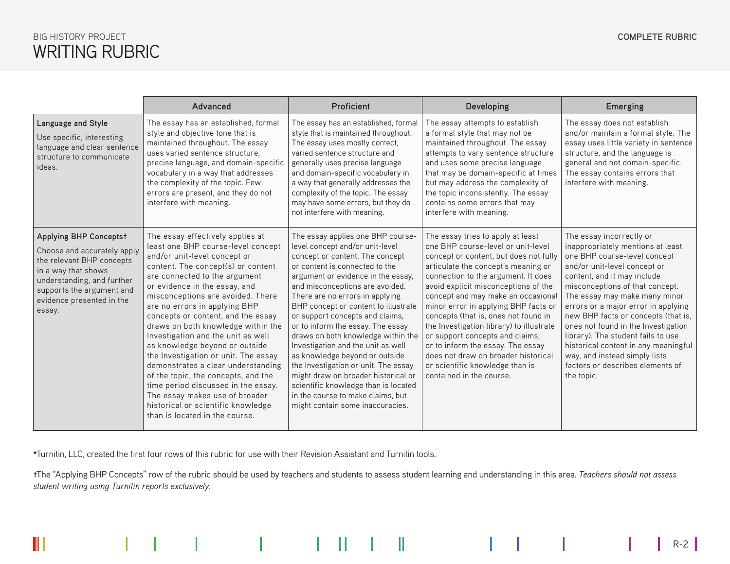# WRITING RUBRIC BIG HISTORY PROJECT

Ï

 $\mathbb{H}$ 

 $R-2$ 

 $\begin{array}{c} \hline \end{array}$ 

|                                                                                                                                                                                                                    | Advanced                                                                                                                                                                                                                                                                                                                                                                                                                                                                                                                                                                                                                                                                                                       | Proficient                                                                                                                                                                                                                                                                                                                                                                                                                                                                                                                                                                                                                                                                          | <b>Developing</b>                                                                                                                                                                                                                                                                                                                                                                                                                                                                                                                                                                       | <b>Emerging</b>                                                                                                                                                                                                                                                                                                                                                                                                                                                                                                        |  |
|--------------------------------------------------------------------------------------------------------------------------------------------------------------------------------------------------------------------|----------------------------------------------------------------------------------------------------------------------------------------------------------------------------------------------------------------------------------------------------------------------------------------------------------------------------------------------------------------------------------------------------------------------------------------------------------------------------------------------------------------------------------------------------------------------------------------------------------------------------------------------------------------------------------------------------------------|-------------------------------------------------------------------------------------------------------------------------------------------------------------------------------------------------------------------------------------------------------------------------------------------------------------------------------------------------------------------------------------------------------------------------------------------------------------------------------------------------------------------------------------------------------------------------------------------------------------------------------------------------------------------------------------|-----------------------------------------------------------------------------------------------------------------------------------------------------------------------------------------------------------------------------------------------------------------------------------------------------------------------------------------------------------------------------------------------------------------------------------------------------------------------------------------------------------------------------------------------------------------------------------------|------------------------------------------------------------------------------------------------------------------------------------------------------------------------------------------------------------------------------------------------------------------------------------------------------------------------------------------------------------------------------------------------------------------------------------------------------------------------------------------------------------------------|--|
| Language and Style<br>Use specific, interesting<br>language and clear sentence<br>structure to communicate<br>ideas.                                                                                               | The essay has an established, formal<br>style and objective tone that is<br>maintained throughout. The essay<br>uses varied sentence structure.<br>precise language, and domain-specific<br>vocabulary in a way that addresses<br>the complexity of the topic. Few<br>errors are present, and they do not<br>interfere with meaning.                                                                                                                                                                                                                                                                                                                                                                           | The essay has an established, formal<br>style that is maintained throughout.<br>The essay uses mostly correct,<br>varied sentence structure and<br>generally uses precise language<br>and domain-specific vocabulary in<br>a way that generally addresses the<br>complexity of the topic. The essay<br>may have some errors, but they do<br>not interfere with meaning.                                                                                                                                                                                                                                                                                                             | The essay attempts to establish<br>a formal style that may not be<br>maintained throughout. The essay<br>attempts to vary sentence structure<br>and uses some precise language<br>that may be domain-specific at times<br>but may address the complexity of<br>the topic inconsistently. The essay<br>contains some errors that may<br>interfere with meaning.                                                                                                                                                                                                                          | The essay does not establish<br>and/or maintain a formal style. The<br>essay uses little variety in sentence<br>structure, and the language is<br>general and not domain-specific.<br>The essay contains errors that<br>interfere with meaning.                                                                                                                                                                                                                                                                        |  |
| <b>Applying BHP Conceptst</b><br>Choose and accurately apply<br>the relevant BHP concepts<br>in a way that shows<br>understanding, and further<br>supports the argument and<br>evidence presented in the<br>essay. | The essay effectively applies at<br>least one BHP course-level concept<br>and/or unit-level concept or<br>content. The concept(s) or content<br>are connected to the argument<br>or evidence in the essay, and<br>misconceptions are avoided. There<br>are no errors in applying BHP<br>concepts or content, and the essay<br>draws on both knowledge within the<br>Investigation and the unit as well<br>as knowledge beyond or outside<br>the Investigation or unit. The essay<br>demonstrates a clear understanding<br>of the topic, the concepts, and the<br>time period discussed in the essay.<br>The essay makes use of broader<br>historical or scientific knowledge<br>than is located in the course. | The essay applies one BHP course-<br>level concept and/or unit-level<br>concept or content. The concept<br>or content is connected to the<br>argument or evidence in the essay.<br>and misconceptions are avoided.<br>There are no errors in applying<br>BHP concept or content to illustrate<br>or support concepts and claims,<br>or to inform the essay. The essay<br>draws on both knowledge within the<br>Investigation and the unit as well<br>as knowledge beyond or outside<br>the Investigation or unit. The essay<br>might draw on broader historical or<br>scientific knowledge than is located<br>in the course to make claims, but<br>might contain some inaccuracies. | The essay tries to apply at least<br>one BHP course-level or unit-level<br>concept or content, but does not fully<br>articulate the concept's meaning or<br>connection to the argument. It does<br>avoid explicit misconceptions of the<br>concept and may make an occasional<br>minor error in applying BHP facts or<br>concepts (that is, ones not found in<br>the Investigation library) to illustrate<br>or support concepts and claims,<br>or to inform the essay. The essay<br>does not draw on broader historical<br>or scientific knowledge than is<br>contained in the course. | The essay incorrectly or<br>inappropriately mentions at least<br>one BHP course-level concept<br>and/or unit-level concept or<br>content, and it may include<br>misconceptions of that concept.<br>The essay may make many minor<br>errors or a major error in applying<br>new BHP facts or concepts (that is,<br>ones not found in the Investigation<br>library). The student fails to use<br>historical content in any meaningful<br>way, and instead simply lists<br>factors or describes elements of<br>the topic. |  |

**\***Turnitin, LLC, created the first four rows of this rubric for use with their Revision Assistant and Turnitin tools.

 $\mathbb{I}$ 

**†**The "Applying BHP Concepts" row of the rubric should be used by teachers and students to assess student learning and understanding in this area. *Teachers should not assess student writing using Turnitin reports exclusively.*

**The Common** 

 $\mathbb{R}$ 

L

 $1.5\times100$